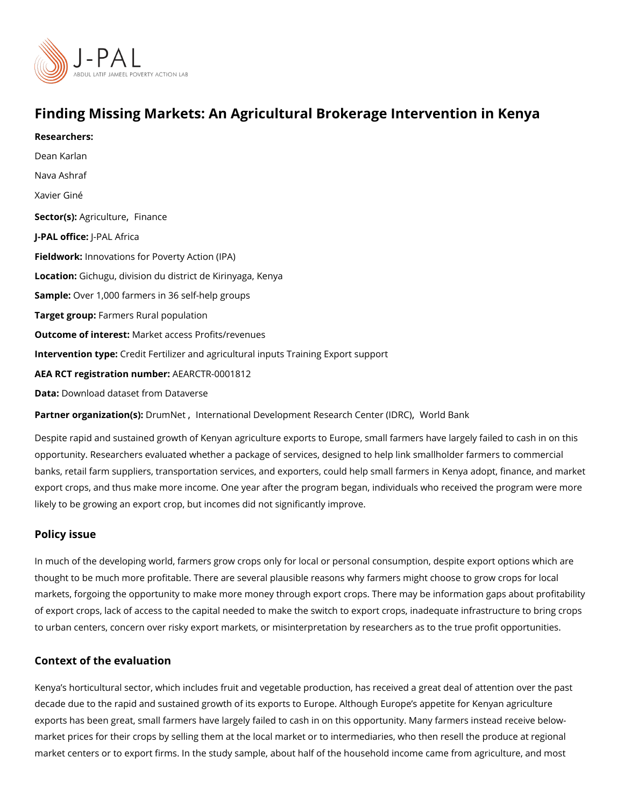Finding Missing Markets: An Agricultural Brokerage Interver Researchers: [Dean Ka](https://www.povertyactionlab.org/person/karlan)rlan [Nava As](https://www.povertyactionlab.org/person/ashraf)hraf Xavier Giné Sector(Asgriculturien ance J-PAL oftli-cPeAL Africa Fieldworkhnovations for Poverty Action (IPA) Locatio Gichugu, division du district de Kirinyaga, Kenya SampleOver 1,000 farmers in 36 self-help groups Target grolatimers Rural population Outcome of inteMestet access Profits/revenues Intervention  $t\mathcal{G}$ pedit Fertilizer and agricultural inputs Training Export support AEA RCT registration AnEuAnRbGeTR-0001812 Data[Download dataset from](https://dataverse.harvard.edu/dataset.xhtml?persistentId=doi:10.7910/DVN/PES3RD) Dataverse

Partner organizatDorn(nsl)! pfinternational Development Resear[,](https://www.povertyactionlab.org/partners/international-development-research-center-idrc) c./Mio Celedn Bean (kIDRC) ,

Despite rapid and sustained growth of Kenyan agriculture exports to Europe, small farmer opportunity. Researchers evaluated whether a package of services, designed to help link banks, retail farm suppliers, transportation services, and exporters, could help small farn export crops, and thus make more income. One year after the program began, individuals likely to be growing an export crop, but incomes did not significantly improve.

## Policy issue

In much of the developing world, farmers grow crops only for local or personal consumption thought to be much more profitable. There are several plausible reasons why farmers migl markets, forgoing the opportunity to make more money through export crops. There may be of export crops, lack of access to the capital needed to make the switch to export crops, to urban centers, concern over risky export markets, or misinterpretation by researchers and

## Context of the evaluation

Kenya s horticultural sector, which includes fruit and vegetable production, has received decade due to the rapid and sustained growth of its exports to Europe. Although Europe s exports has been great, small farmers have largely failed to cash in on this opportunity. I market prices for their crops by selling them at the local market or to intermediaries, who market centers or to export firms. In the study sample, about half of the household incom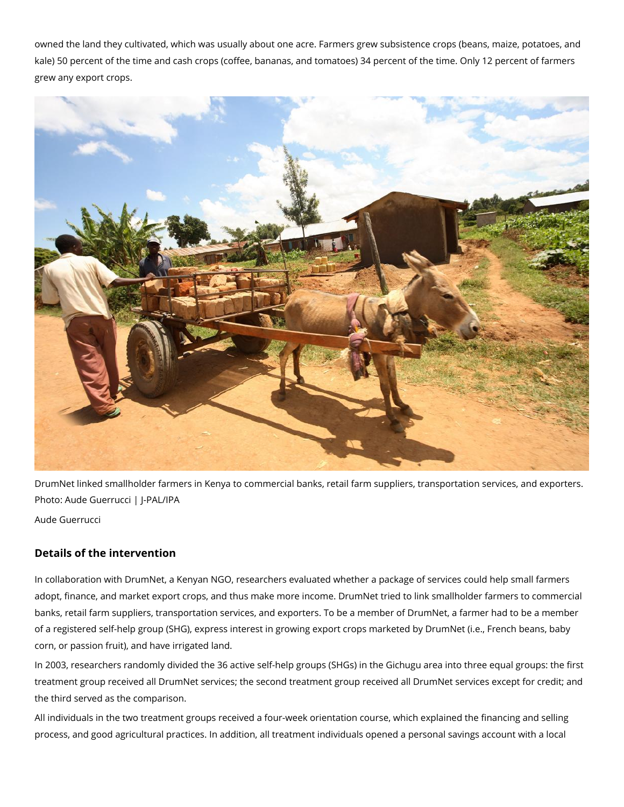owned the land they cultivated, which was usually about one acre. Farmers grew subsistence crops (beans, maize, potatoes, and kale) 50 percent of the time and cash crops (coffee, bananas, and tomatoes) 34 percent of the time. Only 12 percent of farmers grew any export crops.



DrumNet linked smallholder farmers in Kenya to commercial banks, retail farm suppliers, transportation services, and exporters. Photo: Aude Guerrucci | J-PAL/IPA Aude Guerrucci

## **Details of the intervention**

In collaboration with DrumNet, a Kenyan NGO, researchers evaluated whether a package of services could help small farmers adopt, finance, and market export crops, and thus make more income. DrumNet tried to link smallholder farmers to commercial banks, retail farm suppliers, transportation services, and exporters. To be a member of DrumNet, a farmer had to be a member of a registered self-help group (SHG), express interest in growing export crops marketed by DrumNet (i.e., French beans, baby corn, or passion fruit), and have irrigated land.

In 2003, researchers randomly divided the 36 active self-help groups (SHGs) in the Gichugu area into three equal groups: the first treatment group received all DrumNet services; the second treatment group received all DrumNet services except for credit; and the third served as the comparison.

All individuals in the two treatment groups received a four-week orientation course, which explained the financing and selling process, and good agricultural practices. In addition, all treatment individuals opened a personal savings account with a local